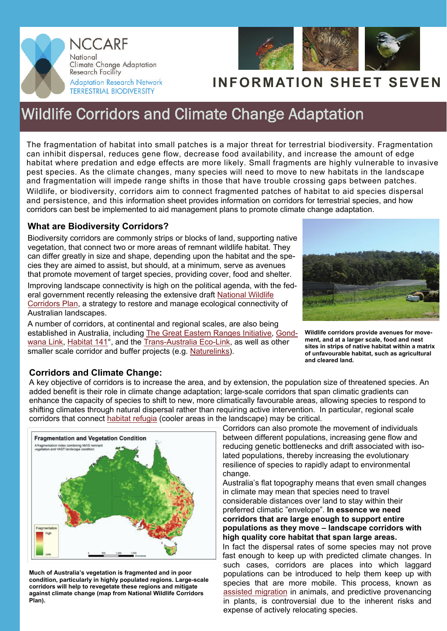



# **INFORMATION SHEET SEVEN**

# Wildlife Corridors and Climate Change Adaptation

The fragmentation of habitat into small patches is a major threat for terrestrial biodiversity. Fragmentation can inhibit dispersal, reduces gene flow, decrease food availability, and increase the amount of edge habitat where predation and edge effects are more likely. Small fragments are highly vulnerable to invasive pest species. As the climate changes, many species will need to move to new habitats in the landscape and fragmentation will impede range shifts in those that have trouble crossing gaps between patches. Wildlife, or biodiversity, corridors aim to connect fragmented patches of habitat to aid species dispersal and persistence, and this information sheet provides information on corridors for terrestrial species, and how corridors can best be implemented to aid management plans to promote climate change adaptation.

## **What are Biodiversity Corridors?**

Biodiversity corridors are commonly strips or blocks of land, supporting native vegetation, that connect two or more areas of remnant wildlife habitat. They can differ greatly in size and shape, depending upon the habitat and the species they are aimed to assist, but should, at a minimum, serve as avenues that promote movement of target species, providing cover, food and shelter.

Improving landscape connectivity is high on the political agenda, with the federal government recently releasing the extensive draft [National Wildlife](http://www.environment.gov.au/biodiversity/wildlife-corridors/publications/pubs/draft-wildlife-corridors-plan.pdf)  [Corridors Plan](http://www.environment.gov.au/biodiversity/wildlife-corridors/publications/pubs/draft-wildlife-corridors-plan.pdf), a strategy to restore and manage ecological connectivity of Australian landscapes.

A number of corridors, at continental and regional scales, are also being established in Australia, including [The Great Eastern Ranges Initiative,](http://www.greateasternranges.org.au/) [Gond](http://www.gondwanalink.org/)[wana Link](http://www.gondwanalink.org/), [Habitat 141°](http://www.habitat141.org.au/), and the [Trans-Australia Eco-Link](http://www.environment.sa.gov.au/naturelinks/ecolink.html), as well as other smaller scale corridor and buffer projects (e.g. [Naturelinks\)](http://www.environment.sa.gov.au/conservation/ecosystem_conservation/naturelinks).



**Wildlife corridors provide avenues for movement, and at a larger scale, food and nest sites in strips of native habitat within a matrix of unfavourable habitat, such as agricultural and cleared land.** 

### **Corridors and Climate Change:**

A key objective of corridors is to increase the area, and by extension, the population size of threatened species. An added benefit is their role in climate change adaptation; large-scale corridors that span climatic gradients can enhance the capacity of species to shift to new, more climatically favourable areas, allowing species to respond to shifting climates through natural dispersal rather than requiring active intervention. In particular, regional scale corridors that connect [habitat refugia](http://www.nccarf.jcu.edu.au/terrestrialbiodiversity/documents/information_sheet_4_refugia.pdf) (cooler areas in the landscape) may be critical.



**Much of Australia's vegetation is fragmented and in poor condition, particularly in highly populated regions. Large-scale corridors will help to revegetate these regions and mitigate against climate change (map from National Wildlife Corridors Plan).** 

Corridors can also promote the movement of individuals between different populations, increasing gene flow and reducing genetic bottlenecks and drift associated with isolated populations, thereby increasing the evolutionary resilience of species to rapidly adapt to environmental change.

Australia's flat topography means that even small changes in climate may mean that species need to travel considerable distances over land to stay within their preferred climatic "envelope". **In essence we need corridors that are large enough to support entire populations as they move – landscape corridors with high quality core habitat that span large areas.** 

In fact the dispersal rates of some species may not prove fast enough to keep up with predicted climate changes. In such cases, corridors are places into which laggard populations can be introduced to help them keep up with species that are more mobile. This process, known as [assisted migration](http://nccarf.jcu.edu.au/terrestrialbiodiversity/download/information_sheet_2_assisted_migration.pdf) in animals, and predictive provenancing in plants, is controversial due to the inherent risks and expense of actively relocating species.